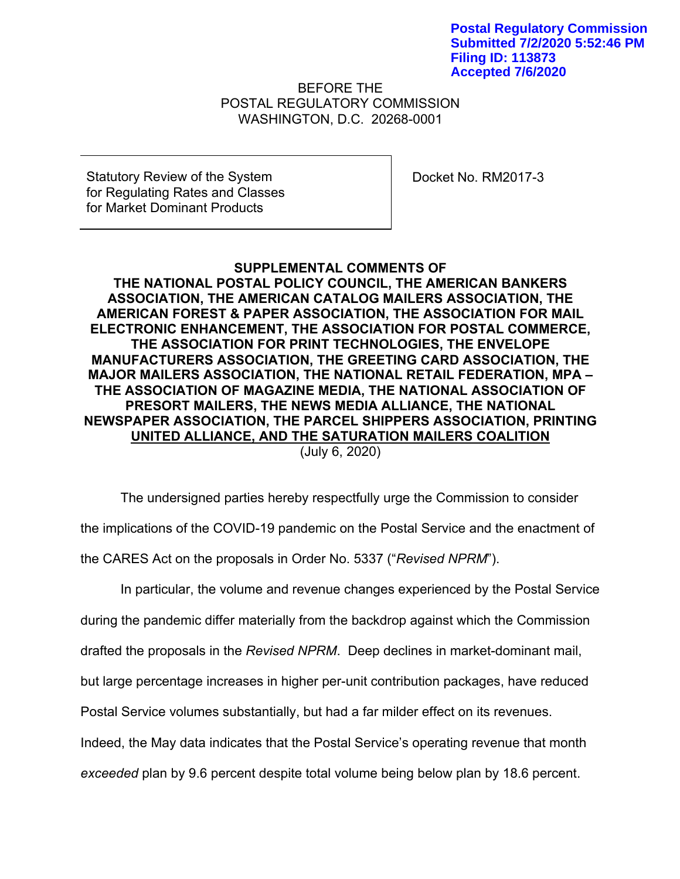**Postal Regulatory Commission Submitted 7/2/2020 5:52:46 PM Filing ID: 113873 Accepted 7/6/2020**

BEFORE THE POSTAL REGULATORY COMMISSION WASHINGTON, D.C. 20268-0001

Statutory Review of the System for Regulating Rates and Classes for Market Dominant Products

Docket No. RM2017-3

# **SUPPLEMENTAL COMMENTS OF**

**THE NATIONAL POSTAL POLICY COUNCIL, THE AMERICAN BANKERS ASSOCIATION, THE AMERICAN CATALOG MAILERS ASSOCIATION, THE AMERICAN FOREST & PAPER ASSOCIATION, THE ASSOCIATION FOR MAIL ELECTRONIC ENHANCEMENT, THE ASSOCIATION FOR POSTAL COMMERCE, THE ASSOCIATION FOR PRINT TECHNOLOGIES, THE ENVELOPE MANUFACTURERS ASSOCIATION, THE GREETING CARD ASSOCIATION, THE MAJOR MAILERS ASSOCIATION, THE NATIONAL RETAIL FEDERATION, MPA – THE ASSOCIATION OF MAGAZINE MEDIA, THE NATIONAL ASSOCIATION OF PRESORT MAILERS, THE NEWS MEDIA ALLIANCE, THE NATIONAL NEWSPAPER ASSOCIATION, THE PARCEL SHIPPERS ASSOCIATION, PRINTING UNITED ALLIANCE, AND THE SATURATION MAILERS COALITION**

(July 6, 2020)

The undersigned parties hereby respectfully urge the Commission to consider the implications of the COVID-19 pandemic on the Postal Service and the enactment of the CARES Act on the proposals in Order No. 5337 ("*Revised NPRM*").

In particular, the volume and revenue changes experienced by the Postal Service during the pandemic differ materially from the backdrop against which the Commission drafted the proposals in the *Revised NPRM*. Deep declines in market-dominant mail, but large percentage increases in higher per-unit contribution packages, have reduced Postal Service volumes substantially, but had a far milder effect on its revenues. Indeed, the May data indicates that the Postal Service's operating revenue that month *exceeded* plan by 9.6 percent despite total volume being below plan by 18.6 percent.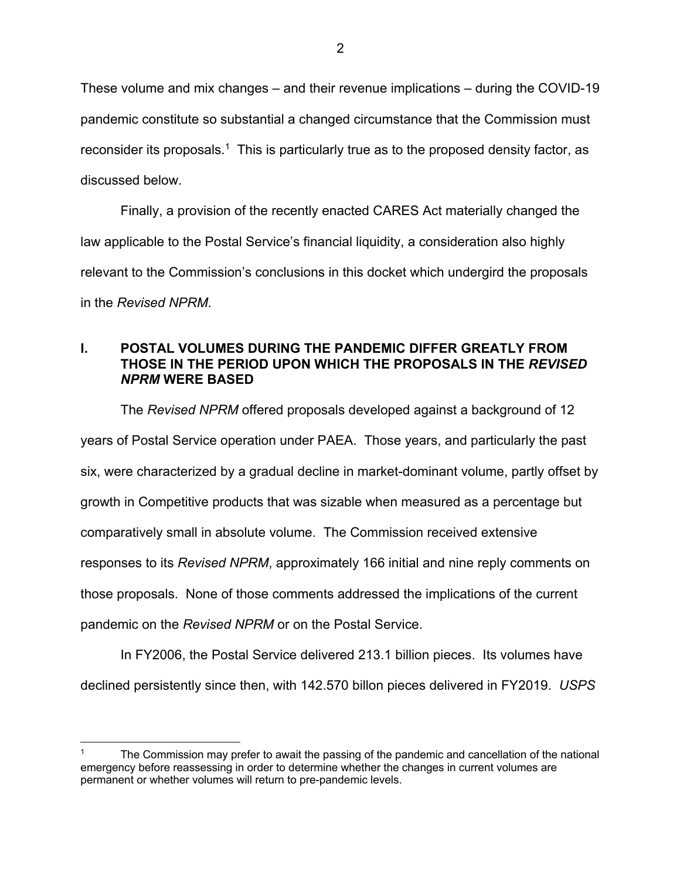These volume and mix changes – and their revenue implications – during the COVID-19 pandemic constitute so substantial a changed circumstance that the Commission must reconsider its proposals.<sup>1</sup> This is particularly true as to the proposed density factor, as discussed below.

Finally, a provision of the recently enacted CARES Act materially changed the law applicable to the Postal Service's financial liquidity, a consideration also highly relevant to the Commission's conclusions in this docket which undergird the proposals in the *Revised NPRM*.

## **I. POSTAL VOLUMES DURING THE PANDEMIC DIFFER GREATLY FROM THOSE IN THE PERIOD UPON WHICH THE PROPOSALS IN THE** *REVISED NPRM* **WERE BASED**

The *Revised NPRM* offered proposals developed against a background of 12 years of Postal Service operation under PAEA. Those years, and particularly the past six, were characterized by a gradual decline in market-dominant volume, partly offset by growth in Competitive products that was sizable when measured as a percentage but comparatively small in absolute volume. The Commission received extensive responses to its *Revised NPRM*, approximately 166 initial and nine reply comments on those proposals. None of those comments addressed the implications of the current pandemic on the *Revised NPRM* or on the Postal Service.

In FY2006, the Postal Service delivered 213.1 billion pieces. Its volumes have declined persistently since then, with 142.570 billon pieces delivered in FY2019. *USPS* 

The Commission may prefer to await the passing of the pandemic and cancellation of the national emergency before reassessing in order to determine whether the changes in current volumes are permanent or whether volumes will return to pre-pandemic levels.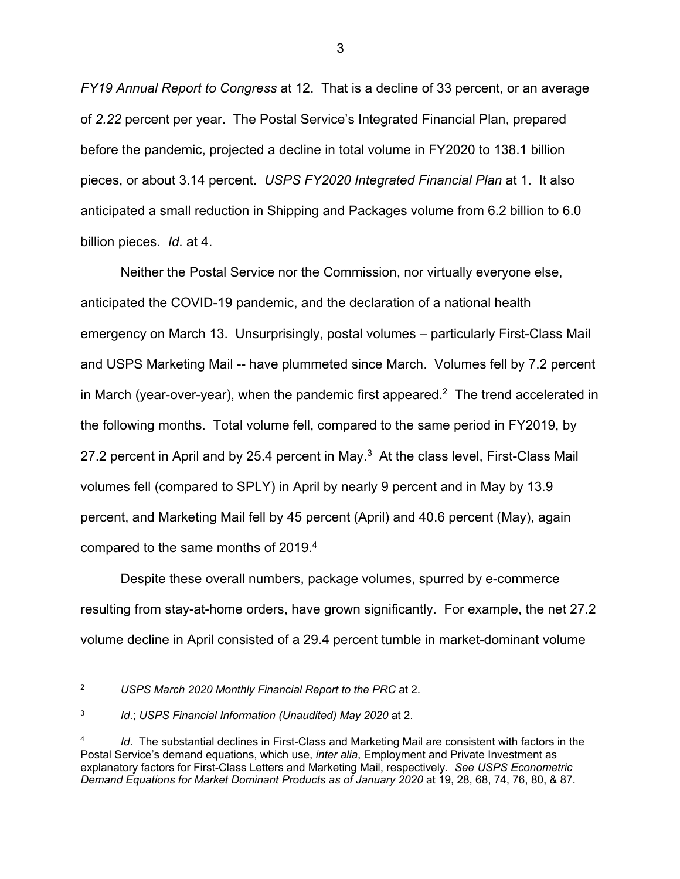*FY19 Annual Report to Congress* at 12. That is a decline of 33 percent, or an average of *2.22* percent per year. The Postal Service's Integrated Financial Plan, prepared before the pandemic, projected a decline in total volume in FY2020 to 138.1 billion pieces, or about 3.14 percent. *USPS FY2020 Integrated Financial Plan* at 1. It also anticipated a small reduction in Shipping and Packages volume from 6.2 billion to 6.0 billion pieces. *Id*. at 4.

Neither the Postal Service nor the Commission, nor virtually everyone else, anticipated the COVID-19 pandemic, and the declaration of a national health emergency on March 13. Unsurprisingly, postal volumes – particularly First-Class Mail and USPS Marketing Mail -- have plummeted since March. Volumes fell by 7.2 percent in March (year-over-year), when the pandemic first appeared.<sup>2</sup> The trend accelerated in the following months. Total volume fell, compared to the same period in FY2019, by 27.2 percent in April and by 25.4 percent in May.<sup>3</sup> At the class level, First-Class Mail volumes fell (compared to SPLY) in April by nearly 9 percent and in May by 13.9 percent, and Marketing Mail fell by 45 percent (April) and 40.6 percent (May), again compared to the same months of 2019.4

Despite these overall numbers, package volumes, spurred by e-commerce resulting from stay-at-home orders, have grown significantly. For example, the net 27.2 volume decline in April consisted of a 29.4 percent tumble in market-dominant volume

<sup>2</sup> *USPS March 2020 Monthly Financial Report to the PRC* at 2.

<sup>3</sup> *Id*.; *USPS Financial Information (Unaudited) May 2020* at 2.

*Id.* The substantial declines in First-Class and Marketing Mail are consistent with factors in the Postal Service's demand equations, which use, *inter alia*, Employment and Private Investment as explanatory factors for First-Class Letters and Marketing Mail, respectively. *See USPS Econometric Demand Equations for Market Dominant Products as of January 2020* at 19, 28, 68, 74, 76, 80, & 87.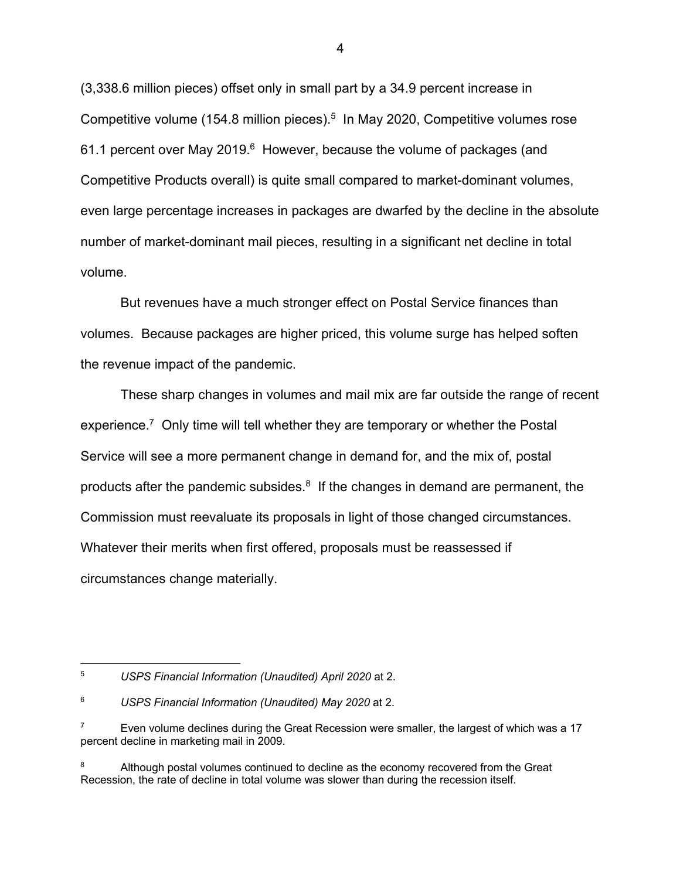(3,338.6 million pieces) offset only in small part by a 34.9 percent increase in Competitive volume (154.8 million pieces).<sup>5</sup> In May 2020, Competitive volumes rose 61.1 percent over May 2019.<sup>6</sup> However, because the volume of packages (and Competitive Products overall) is quite small compared to market-dominant volumes, even large percentage increases in packages are dwarfed by the decline in the absolute number of market-dominant mail pieces, resulting in a significant net decline in total volume.

But revenues have a much stronger effect on Postal Service finances than volumes. Because packages are higher priced, this volume surge has helped soften the revenue impact of the pandemic.

These sharp changes in volumes and mail mix are far outside the range of recent experience.<sup>7</sup> Only time will tell whether they are temporary or whether the Postal Service will see a more permanent change in demand for, and the mix of, postal products after the pandemic subsides.<sup>8</sup> If the changes in demand are permanent, the Commission must reevaluate its proposals in light of those changed circumstances. Whatever their merits when first offered, proposals must be reassessed if circumstances change materially.

<sup>5</sup> *USPS Financial Information (Unaudited) April 2020* at 2.

<sup>6</sup> *USPS Financial Information (Unaudited) May 2020* at 2.

<sup>7</sup> Even volume declines during the Great Recession were smaller, the largest of which was a 17 percent decline in marketing mail in 2009.

Although postal volumes continued to decline as the economy recovered from the Great Recession, the rate of decline in total volume was slower than during the recession itself.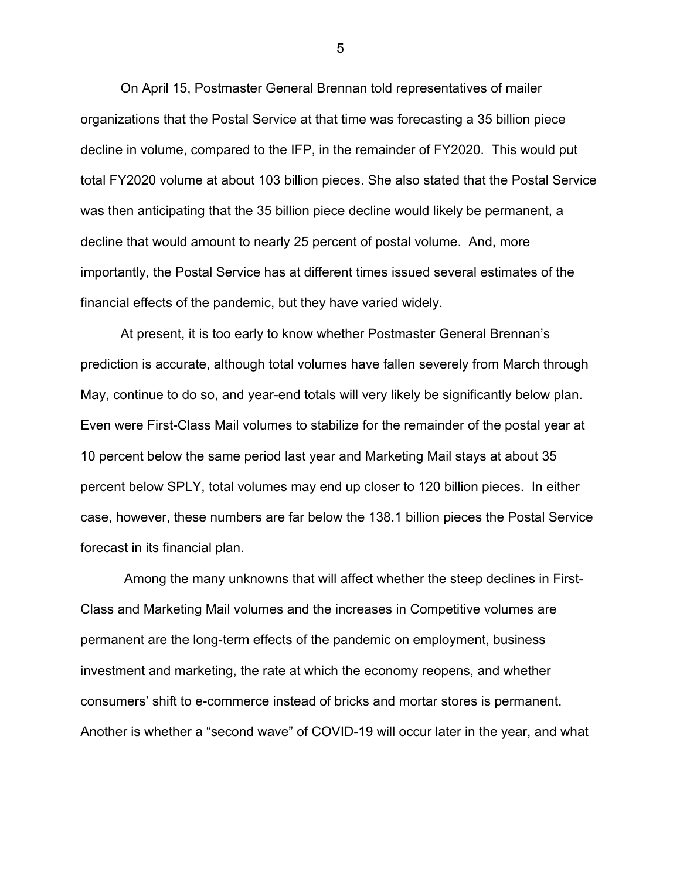On April 15, Postmaster General Brennan told representatives of mailer organizations that the Postal Service at that time was forecasting a 35 billion piece decline in volume, compared to the IFP, in the remainder of FY2020. This would put total FY2020 volume at about 103 billion pieces. She also stated that the Postal Service was then anticipating that the 35 billion piece decline would likely be permanent, a decline that would amount to nearly 25 percent of postal volume. And, more importantly, the Postal Service has at different times issued several estimates of the financial effects of the pandemic, but they have varied widely.

At present, it is too early to know whether Postmaster General Brennan's prediction is accurate, although total volumes have fallen severely from March through May, continue to do so, and year-end totals will very likely be significantly below plan. Even were First-Class Mail volumes to stabilize for the remainder of the postal year at 10 percent below the same period last year and Marketing Mail stays at about 35 percent below SPLY, total volumes may end up closer to 120 billion pieces. In either case, however, these numbers are far below the 138.1 billion pieces the Postal Service forecast in its financial plan.

Among the many unknowns that will affect whether the steep declines in First-Class and Marketing Mail volumes and the increases in Competitive volumes are permanent are the long-term effects of the pandemic on employment, business investment and marketing, the rate at which the economy reopens, and whether consumers' shift to e-commerce instead of bricks and mortar stores is permanent. Another is whether a "second wave" of COVID-19 will occur later in the year, and what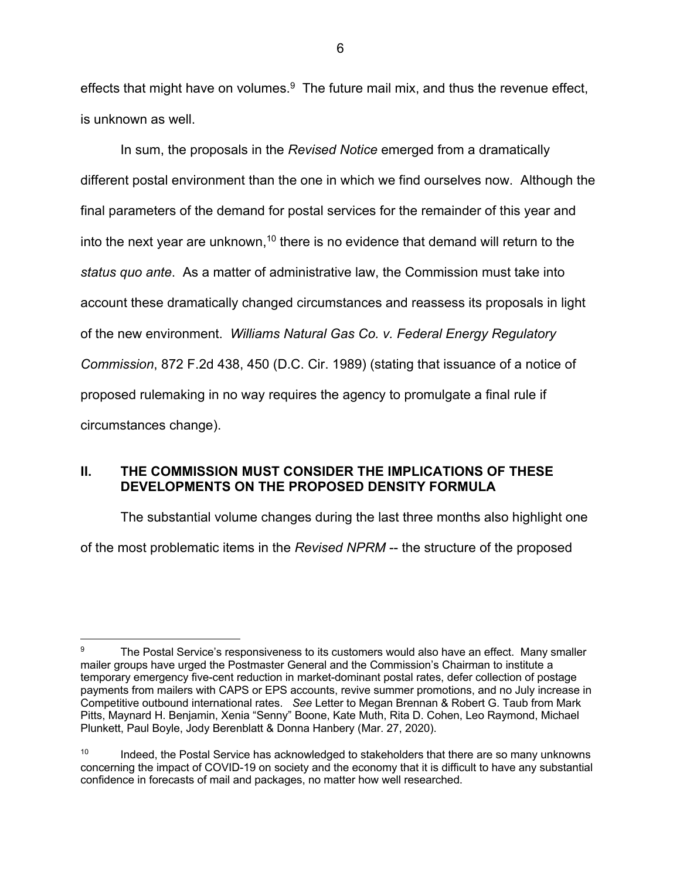effects that might have on volumes. $9$  The future mail mix, and thus the revenue effect, is unknown as well.

In sum, the proposals in the *Revised Notice* emerged from a dramatically different postal environment than the one in which we find ourselves now. Although the final parameters of the demand for postal services for the remainder of this year and into the next year are unknown,<sup>10</sup> there is no evidence that demand will return to the *status quo ante*. As a matter of administrative law, the Commission must take into account these dramatically changed circumstances and reassess its proposals in light of the new environment. *Williams Natural Gas Co. v. Federal Energy Regulatory Commission*, 872 F.2d 438, 450 (D.C. Cir. 1989) (stating that issuance of a notice of proposed rulemaking in no way requires the agency to promulgate a final rule if circumstances change).

# **II. THE COMMISSION MUST CONSIDER THE IMPLICATIONS OF THESE DEVELOPMENTS ON THE PROPOSED DENSITY FORMULA**

The substantial volume changes during the last three months also highlight one of the most problematic items in the *Revised NPRM* -- the structure of the proposed

<sup>&</sup>lt;sup>9</sup> The Postal Service's responsiveness to its customers would also have an effect. Many smaller mailer groups have urged the Postmaster General and the Commission's Chairman to institute a temporary emergency five-cent reduction in market-dominant postal rates, defer collection of postage payments from mailers with CAPS or EPS accounts, revive summer promotions, and no July increase in Competitive outbound international rates. *See* Letter to Megan Brennan & Robert G. Taub from Mark Pitts, Maynard H. Benjamin, Xenia "Senny" Boone, Kate Muth, Rita D. Cohen, Leo Raymond, Michael Plunkett, Paul Boyle, Jody Berenblatt & Donna Hanbery (Mar. 27, 2020).

 $10$  Indeed, the Postal Service has acknowledged to stakeholders that there are so many unknowns concerning the impact of COVID-19 on society and the economy that it is difficult to have any substantial confidence in forecasts of mail and packages, no matter how well researched.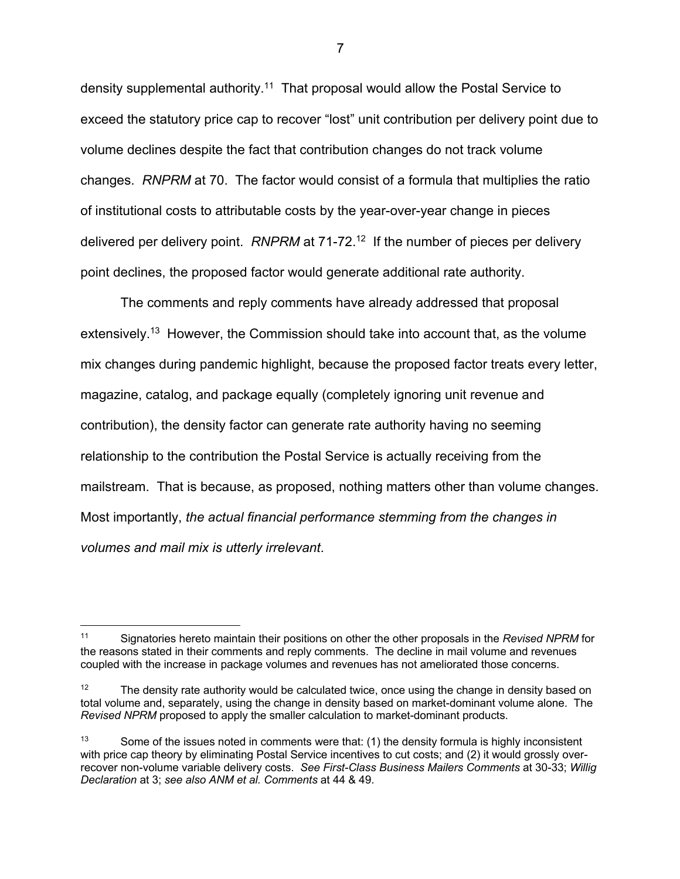density supplemental authority.<sup>11</sup> That proposal would allow the Postal Service to exceed the statutory price cap to recover "lost" unit contribution per delivery point due to volume declines despite the fact that contribution changes do not track volume changes. *RNPRM* at 70. The factor would consist of a formula that multiplies the ratio of institutional costs to attributable costs by the year-over-year change in pieces delivered per delivery point. *RNPRM* at 71-72.<sup>12</sup> If the number of pieces per delivery point declines, the proposed factor would generate additional rate authority.

The comments and reply comments have already addressed that proposal extensively.<sup>13</sup> However, the Commission should take into account that, as the volume mix changes during pandemic highlight, because the proposed factor treats every letter, magazine, catalog, and package equally (completely ignoring unit revenue and contribution), the density factor can generate rate authority having no seeming relationship to the contribution the Postal Service is actually receiving from the mailstream. That is because, as proposed, nothing matters other than volume changes. Most importantly, *the actual financial performance stemming from the changes in volumes and mail mix is utterly irrelevant*.

<sup>11</sup> Signatories hereto maintain their positions on other the other proposals in the *Revised NPRM* for the reasons stated in their comments and reply comments. The decline in mail volume and revenues coupled with the increase in package volumes and revenues has not ameliorated those concerns.

<sup>&</sup>lt;sup>12</sup> The density rate authority would be calculated twice, once using the change in density based on total volume and, separately, using the change in density based on market-dominant volume alone. The *Revised NPRM* proposed to apply the smaller calculation to market-dominant products.

 $13$  Some of the issues noted in comments were that: (1) the density formula is highly inconsistent with price cap theory by eliminating Postal Service incentives to cut costs; and (2) it would grossly overrecover non-volume variable delivery costs. *See First-Class Business Mailers Comments* at 30-33; *Willig Declaration* at 3; *see also ANM et al. Comments* at 44 & 49.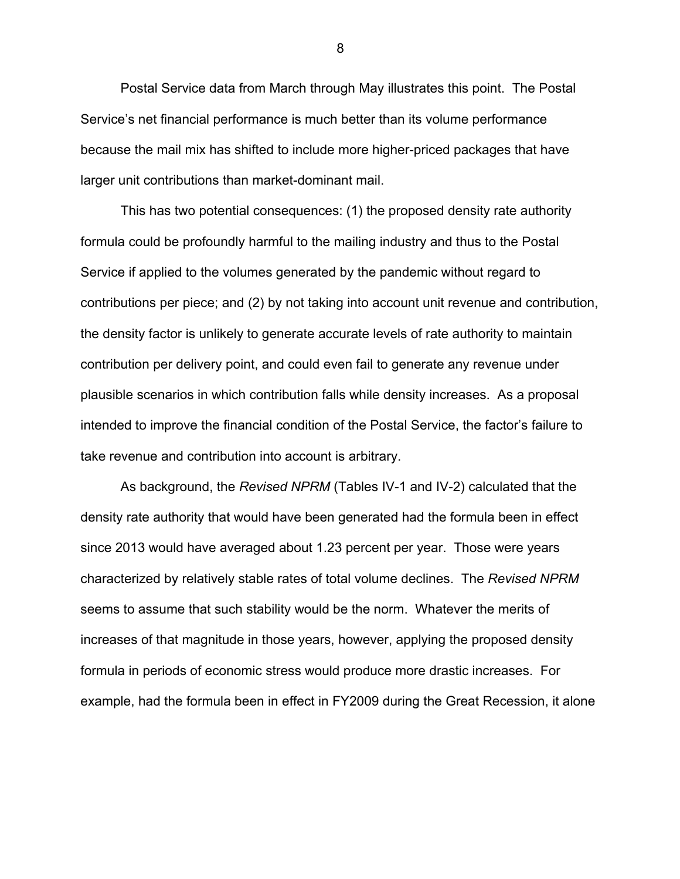Postal Service data from March through May illustrates this point. The Postal Service's net financial performance is much better than its volume performance because the mail mix has shifted to include more higher-priced packages that have larger unit contributions than market-dominant mail.

This has two potential consequences: (1) the proposed density rate authority formula could be profoundly harmful to the mailing industry and thus to the Postal Service if applied to the volumes generated by the pandemic without regard to contributions per piece; and (2) by not taking into account unit revenue and contribution, the density factor is unlikely to generate accurate levels of rate authority to maintain contribution per delivery point, and could even fail to generate any revenue under plausible scenarios in which contribution falls while density increases. As a proposal intended to improve the financial condition of the Postal Service, the factor's failure to take revenue and contribution into account is arbitrary.

As background, the *Revised NPRM* (Tables IV-1 and IV-2) calculated that the density rate authority that would have been generated had the formula been in effect since 2013 would have averaged about 1.23 percent per year. Those were years characterized by relatively stable rates of total volume declines. The *Revised NPRM* seems to assume that such stability would be the norm. Whatever the merits of increases of that magnitude in those years, however, applying the proposed density formula in periods of economic stress would produce more drastic increases. For example, had the formula been in effect in FY2009 during the Great Recession, it alone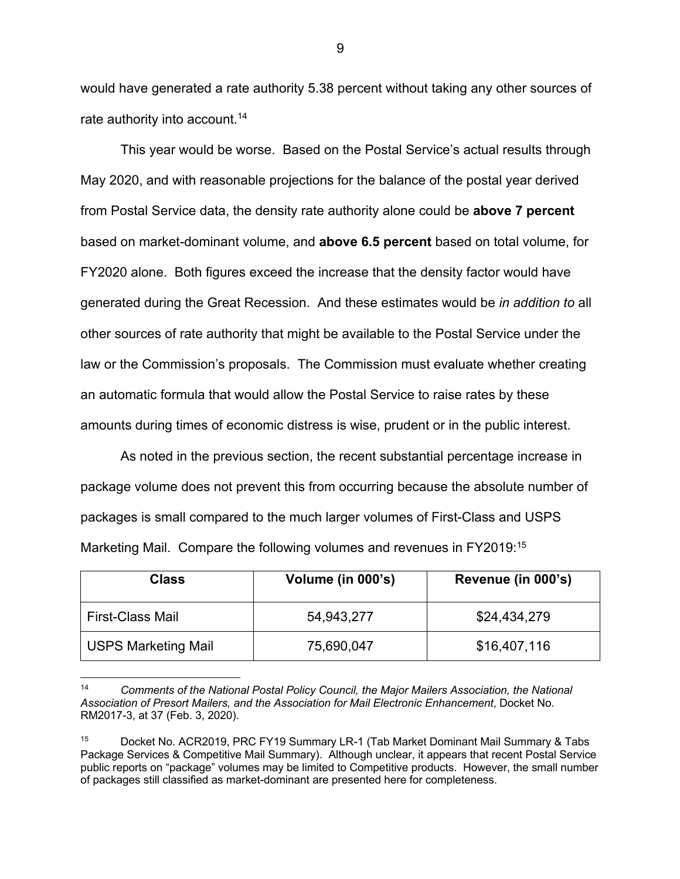would have generated a rate authority 5.38 percent without taking any other sources of rate authority into account.<sup>14</sup>

This year would be worse. Based on the Postal Service's actual results through May 2020, and with reasonable projections for the balance of the postal year derived from Postal Service data, the density rate authority alone could be **above 7 percent** based on market-dominant volume, and **above 6.5 percent** based on total volume, for FY2020 alone. Both figures exceed the increase that the density factor would have generated during the Great Recession. And these estimates would be *in addition to* all other sources of rate authority that might be available to the Postal Service under the law or the Commission's proposals.The Commission must evaluate whether creating an automatic formula that would allow the Postal Service to raise rates by these amounts during times of economic distress is wise, prudent or in the public interest.

As noted in the previous section, the recent substantial percentage increase in package volume does not prevent this from occurring because the absolute number of packages is small compared to the much larger volumes of First-Class and USPS Marketing Mail. Compare the following volumes and revenues in FY2019:15

| Class                      | Volume (in 000's) | Revenue (in 000's) |
|----------------------------|-------------------|--------------------|
| <b>First-Class Mail</b>    | 54,943,277        | \$24,434,279       |
| <b>USPS Marketing Mail</b> | 75,690,047        | \$16,407,116       |

<sup>14</sup> *Comments of the National Postal Policy Council, the Major Mailers Association, the National Association of Presort Mailers, and the Association for Mail Electronic Enhancement*, Docket No. RM2017-3, at 37 (Feb. 3, 2020).

<sup>15</sup> Docket No. ACR2019, PRC FY19 Summary LR-1 (Tab Market Dominant Mail Summary & Tabs Package Services & Competitive Mail Summary). Although unclear, it appears that recent Postal Service public reports on "package" volumes may be limited to Competitive products. However, the small number of packages still classified as market-dominant are presented here for completeness.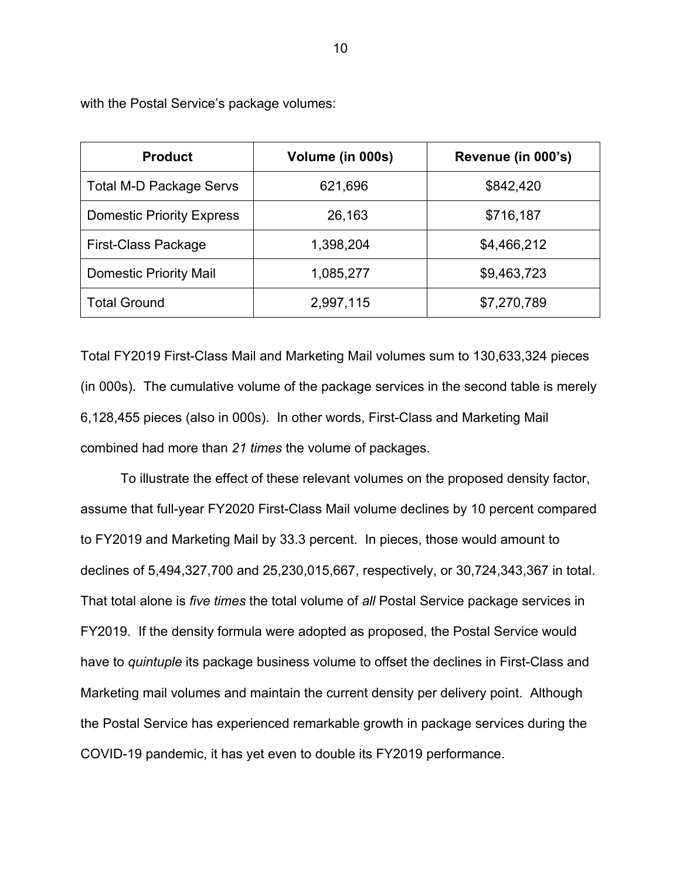| <b>Product</b>                   | Volume (in 000s) | Revenue (in 000's) |
|----------------------------------|------------------|--------------------|
| <b>Total M-D Package Servs</b>   | 621,696          | \$842,420          |
| <b>Domestic Priority Express</b> | 26,163           | \$716,187          |
| <b>First-Class Package</b>       | 1,398,204        | \$4,466,212        |
| <b>Domestic Priority Mail</b>    | 1,085,277        | \$9,463,723        |
| <b>Total Ground</b>              | 2,997,115        | \$7,270,789        |

with the Postal Service's package volumes:

Total FY2019 First-Class Mail and Marketing Mail volumes sum to 130,633,324 pieces (in 000s). The cumulative volume of the package services in the second table is merely 6,128,455 pieces (also in 000s). In other words, First-Class and Marketing Mail combined had more than *21 times* the volume of packages.

To illustrate the effect of these relevant volumes on the proposed density factor, assume that full-year FY2020 First-Class Mail volume declines by 10 percent compared to FY2019 and Marketing Mail by 33.3 percent. In pieces, those would amount to declines of 5,494,327,700 and 25,230,015,667, respectively, or 30,724,343,367 in total. That total alone is *five times* the total volume of *all* Postal Service package services in FY2019. If the density formula were adopted as proposed, the Postal Service would have to *quintuple* its package business volume to offset the declines in First-Class and Marketing mail volumes and maintain the current density per delivery point. Although the Postal Service has experienced remarkable growth in package services during the COVID-19 pandemic, it has yet even to double its FY2019 performance.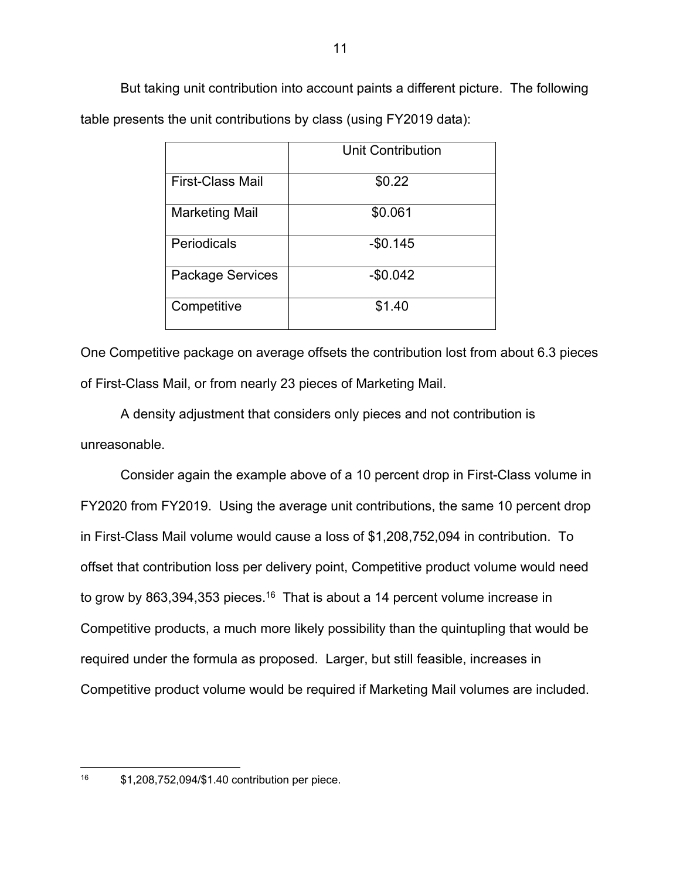But taking unit contribution into account paints a different picture. The following table presents the unit contributions by class (using FY2019 data):

|                         | <b>Unit Contribution</b> |
|-------------------------|--------------------------|
| <b>First-Class Mail</b> | \$0.22                   |
| Marketing Mail          | \$0.061                  |
| Periodicals             | $-$0.145$                |
| Package Services        | $-$0.042$                |
| Competitive             | \$1.40                   |

One Competitive package on average offsets the contribution lost from about 6.3 pieces of First-Class Mail, or from nearly 23 pieces of Marketing Mail.

A density adjustment that considers only pieces and not contribution is unreasonable.

Consider again the example above of a 10 percent drop in First-Class volume in FY2020 from FY2019. Using the average unit contributions, the same 10 percent drop in First-Class Mail volume would cause a loss of \$1,208,752,094 in contribution. To offset that contribution loss per delivery point, Competitive product volume would need to grow by 863,394,353 pieces.<sup>16</sup> That is about a 14 percent volume increase in Competitive products, a much more likely possibility than the quintupling that would be required under the formula as proposed. Larger, but still feasible, increases in Competitive product volume would be required if Marketing Mail volumes are included.

<sup>16</sup> \$1,208,752,094/\$1.40 contribution per piece.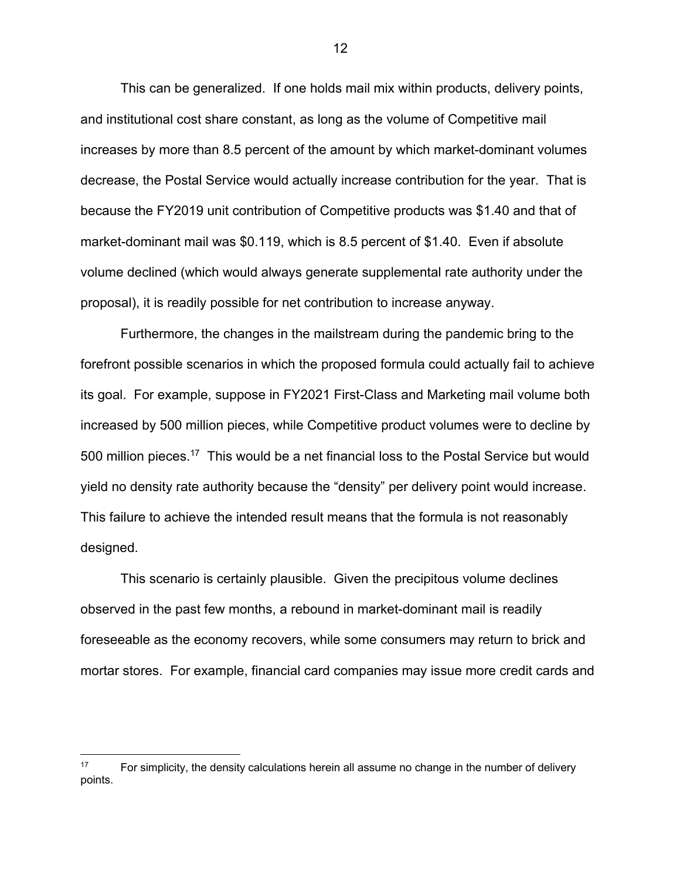This can be generalized. If one holds mail mix within products, delivery points, and institutional cost share constant, as long as the volume of Competitive mail increases by more than 8.5 percent of the amount by which market-dominant volumes decrease, the Postal Service would actually increase contribution for the year. That is because the FY2019 unit contribution of Competitive products was \$1.40 and that of market-dominant mail was \$0.119, which is 8.5 percent of \$1.40. Even if absolute volume declined (which would always generate supplemental rate authority under the proposal), it is readily possible for net contribution to increase anyway.

Furthermore, the changes in the mailstream during the pandemic bring to the forefront possible scenarios in which the proposed formula could actually fail to achieve its goal. For example, suppose in FY2021 First-Class and Marketing mail volume both increased by 500 million pieces, while Competitive product volumes were to decline by 500 million pieces.<sup>17</sup> This would be a net financial loss to the Postal Service but would yield no density rate authority because the "density" per delivery point would increase. This failure to achieve the intended result means that the formula is not reasonably designed.

This scenario is certainly plausible. Given the precipitous volume declines observed in the past few months, a rebound in market-dominant mail is readily foreseeable as the economy recovers, while some consumers may return to brick and mortar stores. For example, financial card companies may issue more credit cards and

 $17$  For simplicity, the density calculations herein all assume no change in the number of delivery points.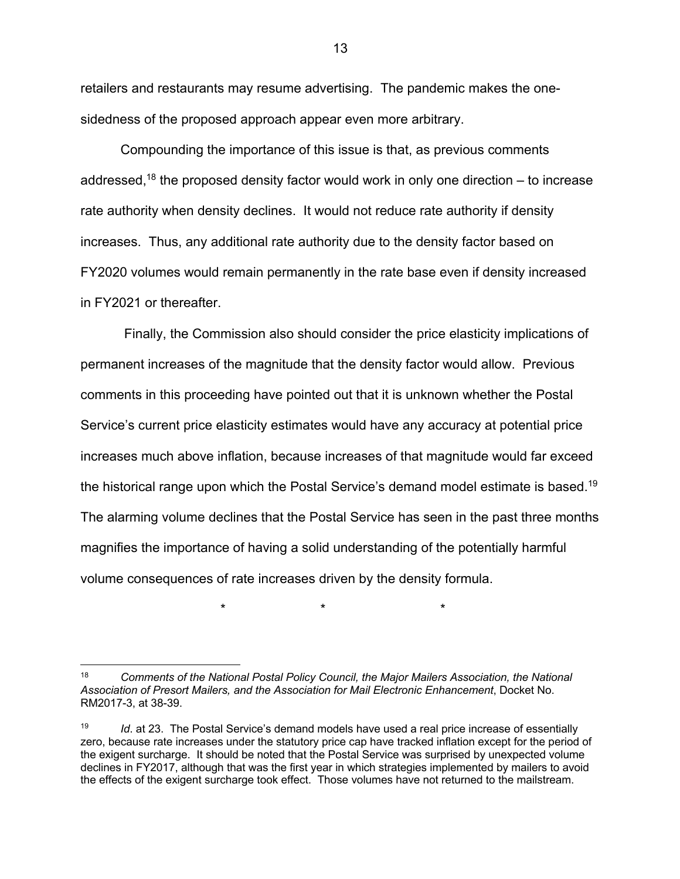retailers and restaurants may resume advertising. The pandemic makes the onesidedness of the proposed approach appear even more arbitrary.

Compounding the importance of this issue is that, as previous comments addressed,<sup>18</sup> the proposed density factor would work in only one direction  $-$  to increase rate authority when density declines. It would not reduce rate authority if density increases. Thus, any additional rate authority due to the density factor based on FY2020 volumes would remain permanently in the rate base even if density increased in FY2021 or thereafter.

Finally, the Commission also should consider the price elasticity implications of permanent increases of the magnitude that the density factor would allow. Previous comments in this proceeding have pointed out that it is unknown whether the Postal Service's current price elasticity estimates would have any accuracy at potential price increases much above inflation, because increases of that magnitude would far exceed the historical range upon which the Postal Service's demand model estimate is based.19 The alarming volume declines that the Postal Service has seen in the past three months magnifies the importance of having a solid understanding of the potentially harmful volume consequences of rate increases driven by the density formula.

\* \* \*

<sup>18</sup> *Comments of the National Postal Policy Council, the Major Mailers Association, the National Association of Presort Mailers, and the Association for Mail Electronic Enhancement*, Docket No. RM2017-3, at 38-39.

<sup>19</sup> *Id*. at 23. The Postal Service's demand models have used a real price increase of essentially zero, because rate increases under the statutory price cap have tracked inflation except for the period of the exigent surcharge. It should be noted that the Postal Service was surprised by unexpected volume declines in FY2017, although that was the first year in which strategies implemented by mailers to avoid the effects of the exigent surcharge took effect. Those volumes have not returned to the mailstream.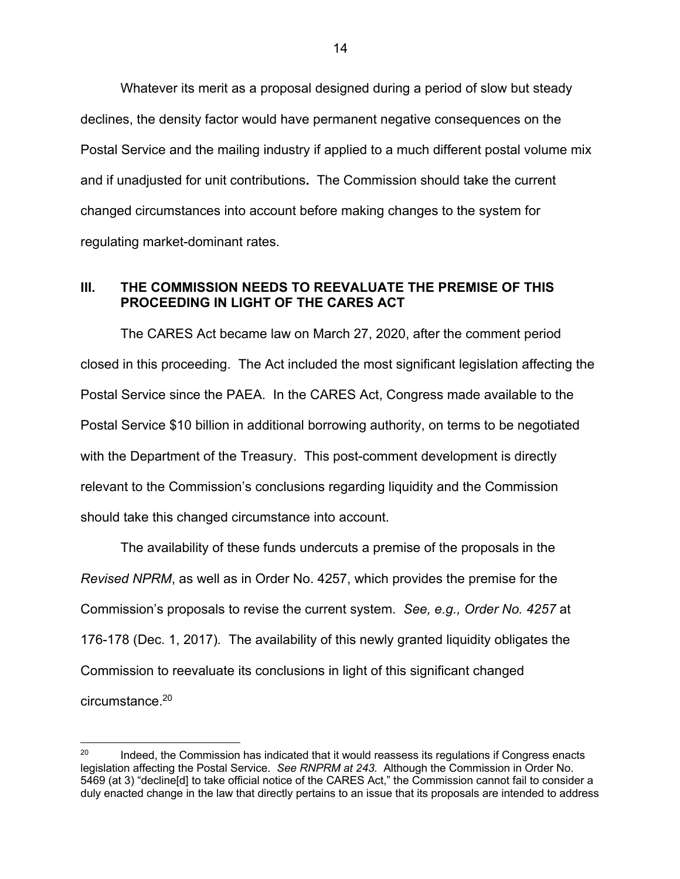Whatever its merit as a proposal designed during a period of slow but steady declines, the density factor would have permanent negative consequences on the Postal Service and the mailing industry if applied to a much different postal volume mix and if unadjusted for unit contributions**.** The Commission should take the current changed circumstances into account before making changes to the system for regulating market-dominant rates.

### **III. THE COMMISSION NEEDS TO REEVALUATE THE PREMISE OF THIS PROCEEDING IN LIGHT OF THE CARES ACT**

The CARES Act became law on March 27, 2020, after the comment period closed in this proceeding. The Act included the most significant legislation affecting the Postal Service since the PAEA. In the CARES Act, Congress made available to the Postal Service \$10 billion in additional borrowing authority, on terms to be negotiated with the Department of the Treasury. This post-comment development is directly relevant to the Commission's conclusions regarding liquidity and the Commission should take this changed circumstance into account.

The availability of these funds undercuts a premise of the proposals in the *Revised NPRM*, as well as in Order No. 4257, which provides the premise for the Commission's proposals to revise the current system. *See, e.g., Order No. 4257* at 176-178 (Dec. 1, 2017)*.* The availability of this newly granted liquidity obligates the Commission to reevaluate its conclusions in light of this significant changed circumstance.20

 $20$  Indeed, the Commission has indicated that it would reassess its regulations if Congress enacts legislation affecting the Postal Service. *See RNPRM at 243.* Although the Commission in Order No. 5469 (at 3) "decline[d] to take official notice of the CARES Act," the Commission cannot fail to consider a duly enacted change in the law that directly pertains to an issue that its proposals are intended to address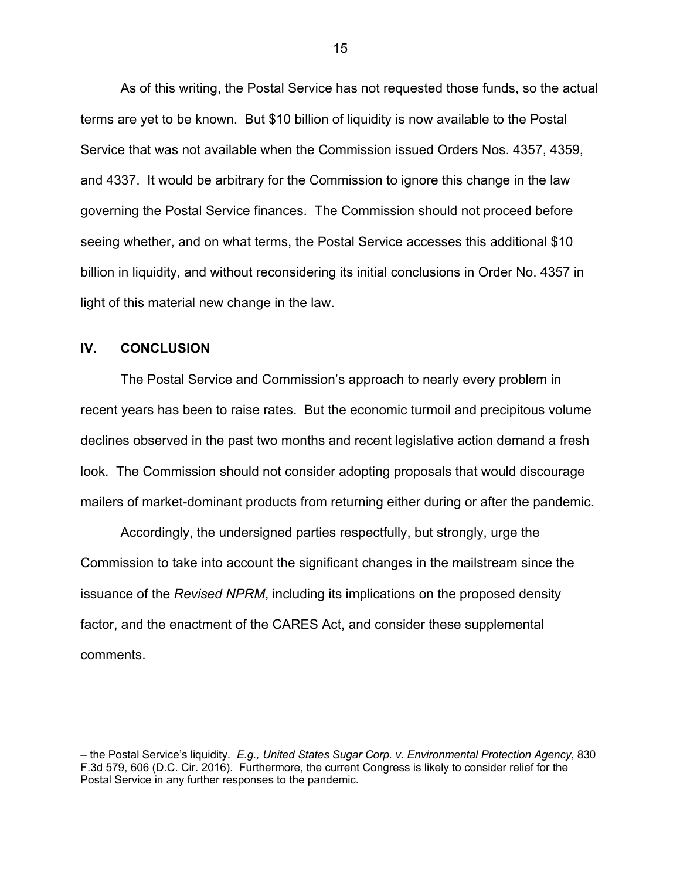As of this writing, the Postal Service has not requested those funds, so the actual terms are yet to be known. But \$10 billion of liquidity is now available to the Postal Service that was not available when the Commission issued Orders Nos. 4357, 4359, and 4337. It would be arbitrary for the Commission to ignore this change in the law governing the Postal Service finances. The Commission should not proceed before seeing whether, and on what terms, the Postal Service accesses this additional \$10 billion in liquidity, and without reconsidering its initial conclusions in Order No. 4357 in light of this material new change in the law.

## **IV. CONCLUSION**

The Postal Service and Commission's approach to nearly every problem in recent years has been to raise rates. But the economic turmoil and precipitous volume declines observed in the past two months and recent legislative action demand a fresh look. The Commission should not consider adopting proposals that would discourage mailers of market-dominant products from returning either during or after the pandemic.

Accordingly, the undersigned parties respectfully, but strongly, urge the Commission to take into account the significant changes in the mailstream since the issuance of the *Revised NPRM*, including its implications on the proposed density factor, and the enactment of the CARES Act, and consider these supplemental comments.

<sup>–</sup> the Postal Service's liquidity. *E.g., United States Sugar Corp. v. Environmental Protection Agency*, 830 F.3d 579, 606 (D.C. Cir. 2016). Furthermore, the current Congress is likely to consider relief for the Postal Service in any further responses to the pandemic.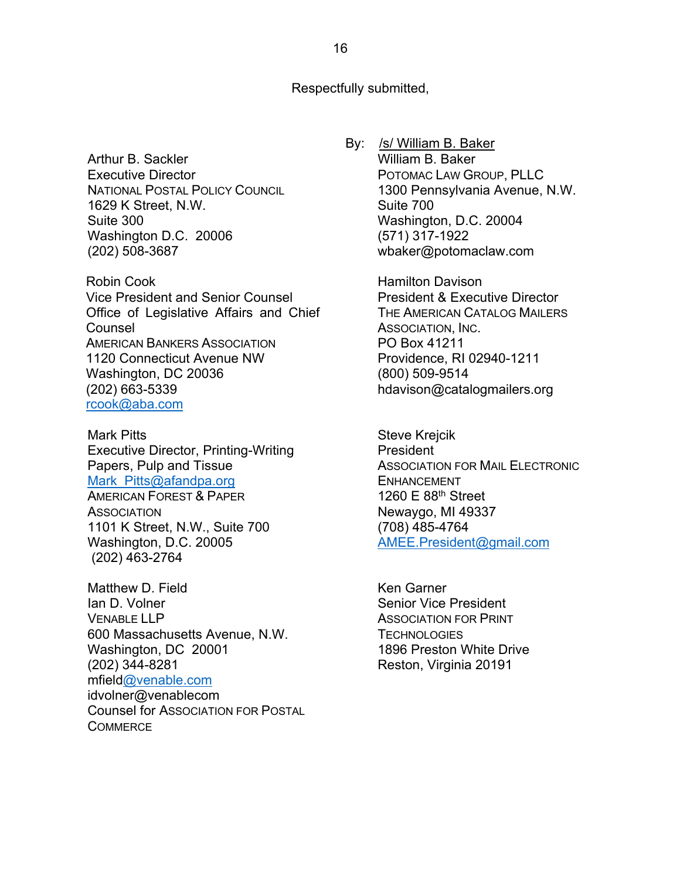Respectfully submitted,

Arthur B. Sackler Executive Director NATIONAL POSTAL POLICY COUNCIL 1629 K Street, N.W. Suite 300 Washington D.C. 20006 (202) 508-3687

Robin Cook Vice President and Senior Counsel Office of Legislative Affairs and Chief Counsel AMERICAN BANKERS ASSOCIATION 1120 Connecticut Avenue NW Washington, DC 20036 (202) 663-5339 rcook@aba.com

Mark Pitts Executive Director, Printing-Writing Papers, Pulp and Tissue Mark Pitts@afandpa.org AMERICAN FOREST & PAPER **ASSOCIATION** 1101 K Street, N.W., Suite 700 Washington, D.C. 20005 (202) 463-2764

Matthew D. Field Ian D. Volner VENABLE LLP 600 Massachusetts Avenue, N.W. Washington, DC 20001 (202) 344-8281 mfield@venable.com idvolner@venablecom Counsel for ASSOCIATION FOR POSTAL **COMMERCE** 

By: /s/ William B. Baker William B. Baker POTOMAC LAW GROUP, PLLC 1300 Pennsylvania Avenue, N.W. Suite 700 Washington, D.C. 20004 (571) 317-1922 wbaker@potomaclaw.com

> Hamilton Davison President & Executive Director THE AMERICAN CATALOG MAILERS ASSOCIATION, INC. PO Box 41211 Providence, RI 02940-1211 (800) 509-9514 hdavison@catalogmailers.org

Steve Krejcik President ASSOCIATION FOR MAIL ELECTRONIC ENHANCEMENT 1260 E 88th Street Newaygo, MI 49337 (708) 485-4764 AMEE.President@gmail.com

Ken Garner Senior Vice President ASSOCIATION FOR PRINT **TECHNOLOGIES** 1896 Preston White Drive Reston, Virginia 20191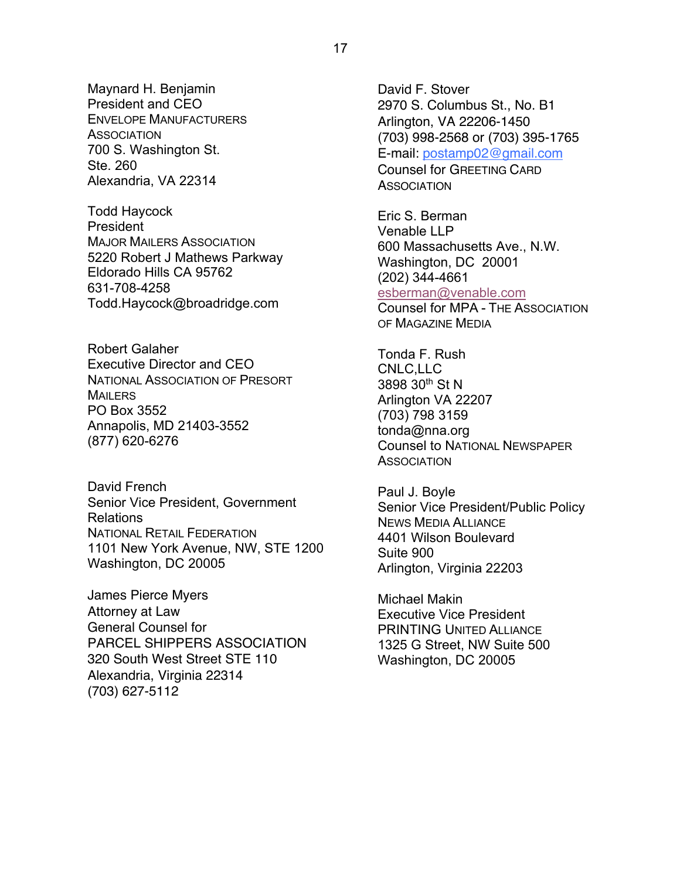Maynard H. Benjamin President and CEO ENVELOPE MANUFACTURERS **ASSOCIATION** 700 S. Washington St. Ste. 260 Alexandria, VA 22314

Todd Haycock **President** MAJOR MAILERS ASSOCIATION 5220 Robert J Mathews Parkway Eldorado Hills CA 95762 631-708-4258 Todd.Haycock@broadridge.com

Robert Galaher Executive Director and CEO NATIONAL ASSOCIATION OF PRESORT **MAILERS** PO Box 3552 Annapolis, MD 21403-3552 (877) 620-6276

David French Senior Vice President, Government Relations NATIONAL RETAIL FEDERATION 1101 New York Avenue, NW, STE 1200 Washington, DC 20005

James Pierce Myers Attorney at Law General Counsel for PARCEL SHIPPERS ASSOCIATION 320 South West Street STE 110 Alexandria, Virginia 22314 (703) 627-5112

David F. Stover 2970 S. Columbus St., No. B1 Arlington, VA 22206-1450 (703) 998-2568 or (703) 395-1765 E-mail: postamp02@gmail.com Counsel for GREETING CARD **ASSOCIATION** 

Eric S. Berman Venable LLP 600 Massachusetts Ave., N.W. Washington, DC 20001 (202) 344-4661 esberman@venable.com Counsel for MPA - THE ASSOCIATION OF MAGAZINE MEDIA

Tonda F. Rush CNLC,LLC 3898 30th St N Arlington VA 22207 (703) 798 3159 tonda@nna.org Counsel to NATIONAL NEWSPAPER **ASSOCIATION** 

Paul J. Boyle Senior Vice President/Public Policy NEWS MEDIA ALLIANCE 4401 Wilson Boulevard Suite 900 Arlington, Virginia 22203

Michael Makin Executive Vice President PRINTING UNITED ALLIANCE 1325 G Street, NW Suite 500 Washington, DC 20005